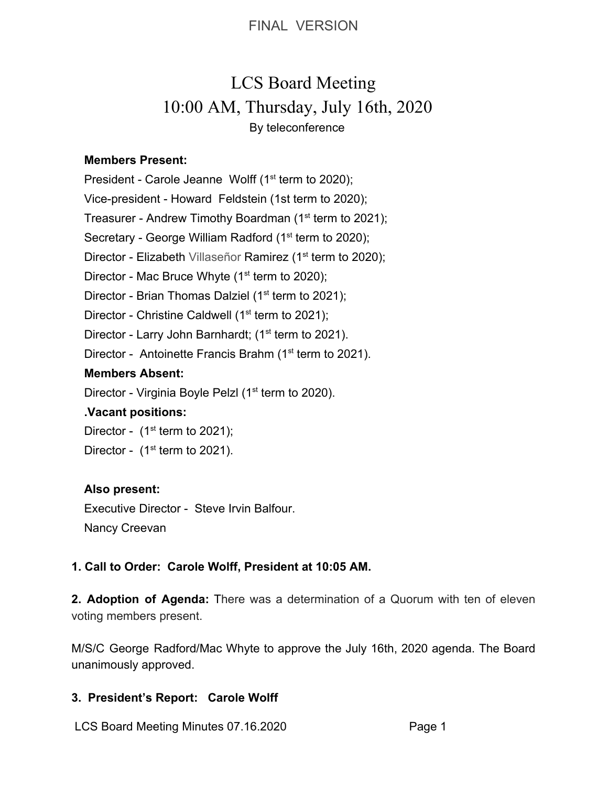# LCS Board Meeting 10:00 AM, Thursday, July 16th, 2020 By teleconference

## **Members Present:**

President - Carole Jeanne Wolff  $(1<sup>st</sup>$  term to 2020);

Vice-president - Howard Feldstein (1st term to 2020);

Treasurer - Andrew Timothy Boardman (1<sup>st</sup> term to 2021);

Secretary - George William Radford (1<sup>st</sup> term to 2020);

Director - Elizabeth Villaseñor Ramirez (1<sup>st</sup> term to 2020);

Director - Mac Bruce Whyte  $(1<sup>st</sup>$  term to 2020);

Director - Brian Thomas Dalziel ( $1<sup>st</sup>$  term to 2021);

Director - Christine Caldwell ( $1<sup>st</sup>$  term to 2021);

Director - Larry John Barnhardt; (1<sup>st</sup> term to 2021).

Director - Antoinette Francis Brahm ( $1<sup>st</sup>$  term to 2021).

## **Members Absent:**

Director - Virginia Boyle Pelzl (1<sup>st</sup> term to 2020).

# **.Vacant positions:**

Director -  $(1<sup>st</sup>$  term to 2021);

Director -  $(1<sup>st</sup>$  term to 2021).

# **Also present:**

Executive Director - Steve Irvin Balfour. Nancy Creevan

# **1. Call to Order: Carole Wolff, President at 10:05 AM.**

**2. Adoption of Agenda:** There was a determination of a Quorum with ten of eleven voting members present.

M/S/C George Radford/Mac Whyte to approve the July 16th, 2020 agenda. The Board unanimously approved.

## **3. President's Report: Carole Wolff**

LCS Board Meeting Minutes 07.16.2020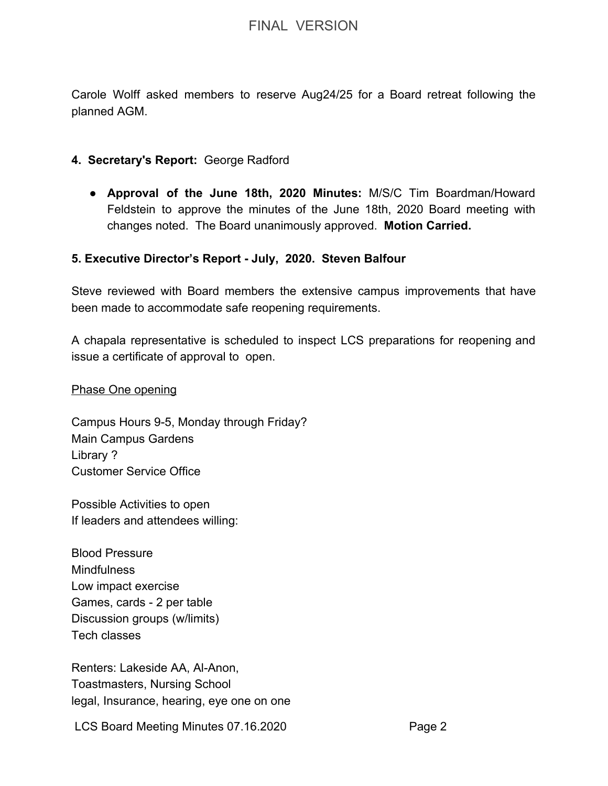Carole Wolff asked members to reserve Aug24/25 for a Board retreat following the planned AGM.

#### **4. Secretary's Report:** George Radford

● **Approval of the June 18th, 2020 Minutes:** M/S/C Tim Boardman/Howard Feldstein to approve the minutes of the June 18th, 2020 Board meeting with changes noted. The Board unanimously approved. **Motion Carried.**

#### **5. Executive Director's Report - July, 2020. Steven Balfour**

Steve reviewed with Board members the extensive campus improvements that have been made to accommodate safe reopening requirements.

A chapala representative is scheduled to inspect LCS preparations for reopening and issue a certificate of approval to open.

Phase One opening

Campus Hours 9-5, Monday through Friday? Main Campus Gardens Library ? Customer Service Office

Possible Activities to open If leaders and attendees willing:

Blood Pressure **Mindfulness** Low impact exercise Games, cards - 2 per table Discussion groups (w/limits) Tech classes

Renters: Lakeside AA, Al-Anon, Toastmasters, Nursing School legal, Insurance, hearing, eye one on one

LCS Board Meeting Minutes 07.16.2020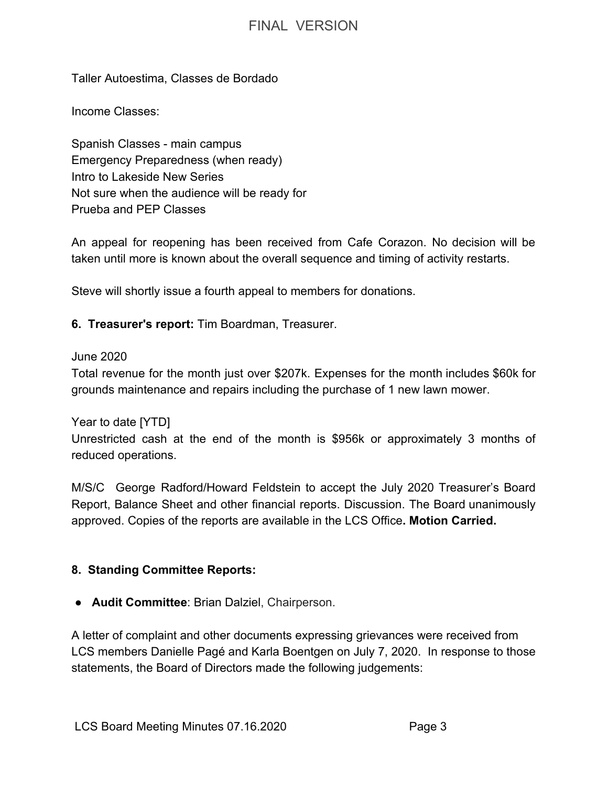Taller Autoestima, Classes de Bordado

Income Classes:

Spanish Classes - main campus Emergency Preparedness (when ready) Intro to Lakeside New Series Not sure when the audience will be ready for Prueba and PEP Classes

An appeal for reopening has been received from Cafe Corazon. No decision will be taken until more is known about the overall sequence and timing of activity restarts.

Steve will shortly issue a fourth appeal to members for donations.

**6. Treasurer's report:** Tim Boardman, Treasurer.

#### June 2020

Total revenue for the month just over \$207k. Expenses for the month includes \$60k for grounds maintenance and repairs including the purchase of 1 new lawn mower.

Year to date [YTD]

Unrestricted cash at the end of the month is \$956k or approximately 3 months of reduced operations.

M/S/C George Radford/Howard Feldstein to accept the July 2020 Treasurer's Board Report, Balance Sheet and other financial reports. Discussion. The Board unanimously approved. Copies of the reports are available in the LCS Office**. Motion Carried.**

## **8. Standing Committee Reports:**

● **Audit Committee**: Brian Dalziel, Chairperson.

A letter of complaint and other documents expressing grievances were received from LCS members Danielle Pagé and Karla Boentgen on July 7, 2020. In response to those statements, the Board of Directors made the following judgements: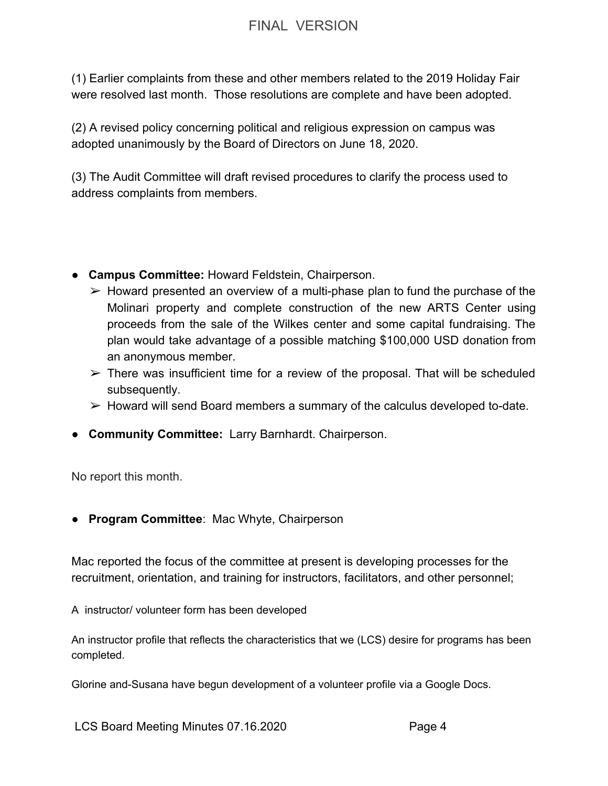(1) Earlier complaints from these and other members related to the 2019 Holiday Fair were resolved last month. Those resolutions are complete and have been adopted.

(2) A revised policy concerning political and religious expression on campus was adopted unanimously by the Board of Directors on June 18, 2020.

(3) The Audit Committee will draft revised procedures to clarify the process used to address complaints from members.

- ● **Campus Committee:** Howard Feldstein, Chairperson.
	- $\triangleright$  Howard presented an overview of a multi-phase plan to fund the purchase of the Molinari property and complete construction of the new ARTS Center using proceeds from the sale of the Wilkes center and some capital fundraising. The plan would take advantage of a possible matching \$100,000 USD donation from an anonymous member.
	- $\triangleright$  There was insufficient time for a review of the proposal. That will be scheduled subsequently.
	- $\triangleright$  Howard will send Board members a summary of the calculus developed to-date.
- **Community Committee:** Larry Barnhardt. Chairperson.

No report this month.

● **Program Committee**: Mac Whyte, Chairperson

Mac reported the focus of the committee at present is developing processes for the recruitment, orientation, and training for instructors, facilitators, and other personnel;

A instructor/ volunteer form has been developed

An instructor profile that reflects the characteristics that we (LCS) desire for programs has been completed.

Glorine and-Susana have begun development of a volunteer profile via a Google Docs.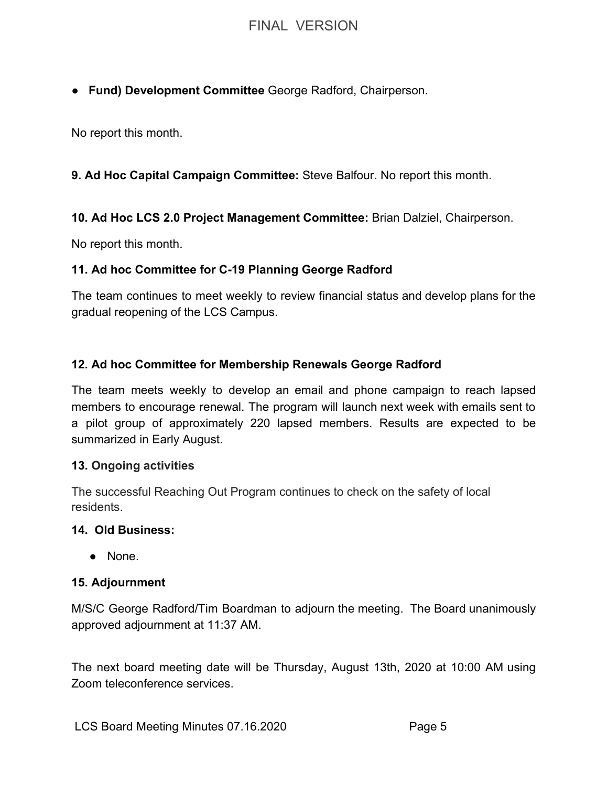**● Fund) Development Committee** George Radford, Chairperson.

No report this month.

### **9. Ad Hoc Capital Campaign Committee:** Steve Balfour. No report this month.

#### **10. Ad Hoc LCS 2.0 Project Management Committee:** Brian Dalziel, Chairperson.

No report this month.

#### **11. Ad hoc Committee for C-19 Planning George Radford**

The team continues to meet weekly to review financial status and develop plans for the gradual reopening of the LCS Campus.

## **12. Ad hoc Committee for Membership Renewals George Radford**

The team meets weekly to develop an email and phone campaign to reach lapsed members to encourage renewal. The program will launch next week with emails sent to a pilot group of approximately 220 lapsed members. Results are expected to be summarized in Early August.

#### **13. Ongoing activities**

The successful Reaching Out Program continues to check on the safety of local residents.

#### **14. Old Business:**

● None.

#### **15. Adjournment**

M/S/C George Radford/Tim Boardman to adjourn the meeting. The Board unanimously approved adjournment at 11:37 AM.

The next board meeting date will be Thursday, August 13th, 2020 at 10:00 AM using Zoom teleconference services.